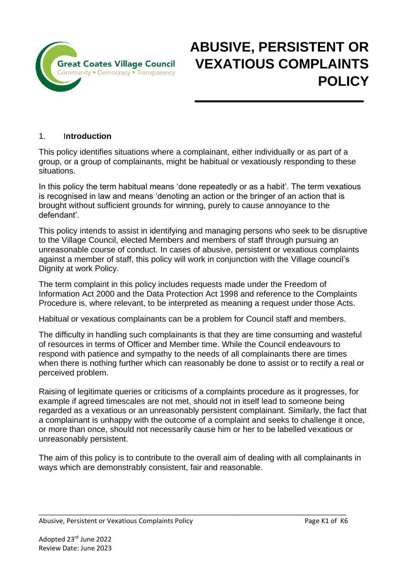

# **ABUSIVE, PERSISTENT OR VEXATIOUS COMPLAINTS POLICY**

## 1. I**ntroduction**

This policy identifies situations where a complainant, either individually or as part of a group, or a group of complainants, might be habitual or vexatiously responding to these situations.

In this policy the term habitual means 'done repeatedly or as a habit'. The term vexatious is recognised in law and means 'denoting an action or the bringer of an action that is brought without sufficient grounds for winning, purely to cause annoyance to the defendant'.

This policy intends to assist in identifying and managing persons who seek to be disruptive to the Village Council, elected Members and members of staff through pursuing an unreasonable course of conduct. In cases of abusive, persistent or vexatious complaints against a member of staff, this policy will work in conjunction with the Village council's Dignity at work Policy.

The term complaint in this policy includes requests made under the Freedom of Information Act 2000 and the Data Protection Act 1998 and reference to the Complaints Procedure is, where relevant, to be interpreted as meaning a request under those Acts.

Habitual or vexatious complainants can be a problem for Council staff and members.

The difficulty in handling such complainants is that they are time consuming and wasteful of resources in terms of Officer and Member time. While the Council endeavours to respond with patience and sympathy to the needs of all complainants there are times when there is nothing further which can reasonably be done to assist or to rectify a real or perceived problem.

Raising of legitimate queries or criticisms of a complaints procedure as it progresses, for example if agreed timescales are not met, should not in itself lead to someone being regarded as a vexatious or an unreasonably persistent complainant. Similarly, the fact that a complainant is unhappy with the outcome of a complaint and seeks to challenge it once, or more than once, should not necessarily cause him or her to be labelled vexatious or unreasonably persistent.

The aim of this policy is to contribute to the overall aim of dealing with all complainants in ways which are demonstrably consistent, fair and reasonable.

#### \_\_\_\_\_\_\_\_\_\_\_\_\_\_\_\_\_\_\_\_\_\_\_\_\_\_\_\_\_\_\_\_\_\_\_\_\_\_\_\_\_\_\_\_\_\_\_\_\_\_\_\_\_\_\_\_\_\_\_\_\_\_\_\_\_\_\_\_\_\_\_\_\_\_\_\_\_\_\_\_\_\_ Abusive, Persistent or Vexatious Complaints Policy **Page 1986** Page K1 of K6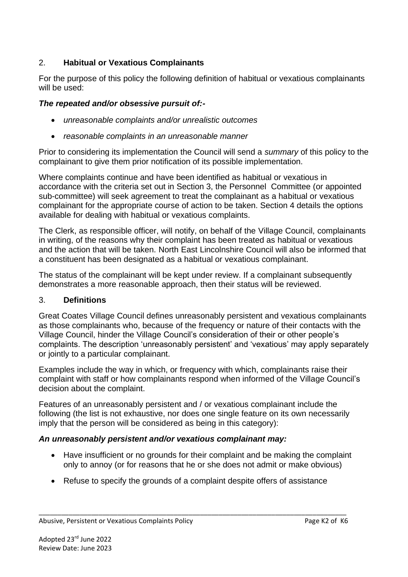## 2. **Habitual or Vexatious Complainants**

For the purpose of this policy the following definition of habitual or vexatious complainants will be used:

### *The repeated and/or obsessive pursuit of:-*

- *unreasonable complaints and/or unrealistic outcomes*
- *reasonable complaints in an unreasonable manner*

Prior to considering its implementation the Council will send a *summary* of this policy to the complainant to give them prior notification of its possible implementation.

Where complaints continue and have been identified as habitual or vexatious in accordance with the criteria set out in Section 3, the Personnel Committee (or appointed sub-committee) will seek agreement to treat the complainant as a habitual or vexatious complainant for the appropriate course of action to be taken. Section 4 details the options available for dealing with habitual or vexatious complaints.

The Clerk, as responsible officer, will notify, on behalf of the Village Council, complainants in writing, of the reasons why their complaint has been treated as habitual or vexatious and the action that will be taken. North East Lincolnshire Council will also be informed that a constituent has been designated as a habitual or vexatious complainant.

The status of the complainant will be kept under review. If a complainant subsequently demonstrates a more reasonable approach, then their status will be reviewed.

#### 3. **Definitions**

Great Coates Village Council defines unreasonably persistent and vexatious complainants as those complainants who, because of the frequency or nature of their contacts with the Village Council, hinder the Village Council's consideration of their or other people's complaints. The description 'unreasonably persistent' and 'vexatious' may apply separately or jointly to a particular complainant.

Examples include the way in which, or frequency with which, complainants raise their complaint with staff or how complainants respond when informed of the Village Council's decision about the complaint.

Features of an unreasonably persistent and / or vexatious complainant include the following (the list is not exhaustive, nor does one single feature on its own necessarily imply that the person will be considered as being in this category):

#### *An unreasonably persistent and/or vexatious complainant may:*

- Have insufficient or no grounds for their complaint and be making the complaint only to annoy (or for reasons that he or she does not admit or make obvious)
- Refuse to specify the grounds of a complaint despite offers of assistance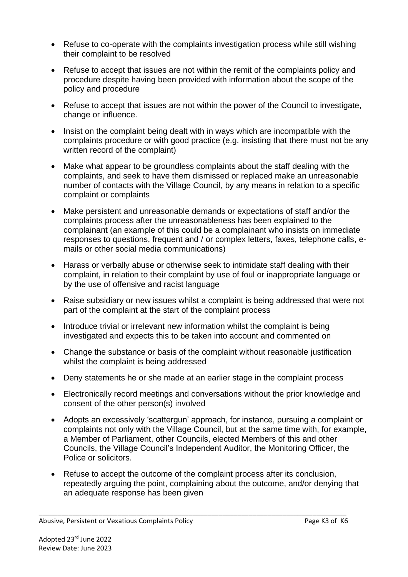- Refuse to co-operate with the complaints investigation process while still wishing their complaint to be resolved
- Refuse to accept that issues are not within the remit of the complaints policy and procedure despite having been provided with information about the scope of the policy and procedure
- Refuse to accept that issues are not within the power of the Council to investigate, change or influence.
- Insist on the complaint being dealt with in ways which are incompatible with the complaints procedure or with good practice (e.g. insisting that there must not be any written record of the complaint)
- Make what appear to be groundless complaints about the staff dealing with the complaints, and seek to have them dismissed or replaced make an unreasonable number of contacts with the Village Council, by any means in relation to a specific complaint or complaints
- Make persistent and unreasonable demands or expectations of staff and/or the complaints process after the unreasonableness has been explained to the complainant (an example of this could be a complainant who insists on immediate responses to questions, frequent and / or complex letters, faxes, telephone calls, emails or other social media communications)
- Harass or verbally abuse or otherwise seek to intimidate staff dealing with their complaint, in relation to their complaint by use of foul or inappropriate language or by the use of offensive and racist language
- Raise subsidiary or new issues whilst a complaint is being addressed that were not part of the complaint at the start of the complaint process
- Introduce trivial or irrelevant new information whilst the complaint is being investigated and expects this to be taken into account and commented on
- Change the substance or basis of the complaint without reasonable justification whilst the complaint is being addressed
- Deny statements he or she made at an earlier stage in the complaint process
- Electronically record meetings and conversations without the prior knowledge and consent of the other person(s) involved
- Adopts an excessively 'scattergun' approach, for instance, pursuing a complaint or complaints not only with the Village Council, but at the same time with, for example, a Member of Parliament, other Councils, elected Members of this and other Councils, the Village Council's Independent Auditor, the Monitoring Officer, the Police or solicitors.
- Refuse to accept the outcome of the complaint process after its conclusion, repeatedly arguing the point, complaining about the outcome, and/or denying that an adequate response has been given

\_\_\_\_\_\_\_\_\_\_\_\_\_\_\_\_\_\_\_\_\_\_\_\_\_\_\_\_\_\_\_\_\_\_\_\_\_\_\_\_\_\_\_\_\_\_\_\_\_\_\_\_\_\_\_\_\_\_\_\_\_\_\_\_\_\_\_\_\_\_\_\_\_\_\_\_\_\_\_\_\_\_

Abusive, Persistent or Vexatious Complaints Policy **Page 18 assets** Page K3 of K6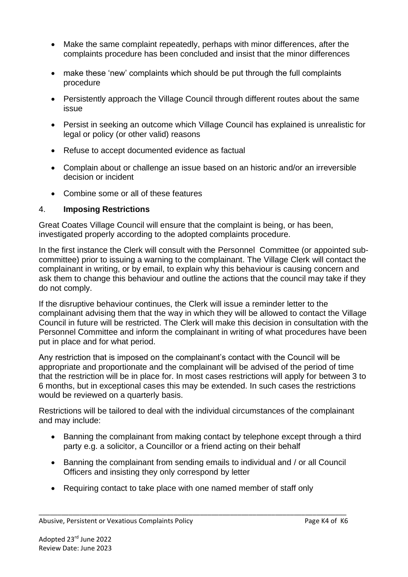- Make the same complaint repeatedly, perhaps with minor differences, after the complaints procedure has been concluded and insist that the minor differences
- make these 'new' complaints which should be put through the full complaints procedure
- Persistently approach the Village Council through different routes about the same issue
- Persist in seeking an outcome which Village Council has explained is unrealistic for legal or policy (or other valid) reasons
- Refuse to accept documented evidence as factual
- Complain about or challenge an issue based on an historic and/or an irreversible decision or incident
- Combine some or all of these features

## 4. **Imposing Restrictions**

Great Coates Village Council will ensure that the complaint is being, or has been, investigated properly according to the adopted complaints procedure.

In the first instance the Clerk will consult with the Personnel Committee (or appointed subcommittee) prior to issuing a warning to the complainant. The Village Clerk will contact the complainant in writing, or by email, to explain why this behaviour is causing concern and ask them to change this behaviour and outline the actions that the council may take if they do not comply.

If the disruptive behaviour continues, the Clerk will issue a reminder letter to the complainant advising them that the way in which they will be allowed to contact the Village Council in future will be restricted. The Clerk will make this decision in consultation with the Personnel Committee and inform the complainant in writing of what procedures have been put in place and for what period.

Any restriction that is imposed on the complainant's contact with the Council will be appropriate and proportionate and the complainant will be advised of the period of time that the restriction will be in place for. In most cases restrictions will apply for between 3 to 6 months, but in exceptional cases this may be extended. In such cases the restrictions would be reviewed on a quarterly basis.

Restrictions will be tailored to deal with the individual circumstances of the complainant and may include:

- Banning the complainant from making contact by telephone except through a third party e.g. a solicitor, a Councillor or a friend acting on their behalf
- Banning the complainant from sending emails to individual and / or all Council Officers and insisting they only correspond by letter
- Requiring contact to take place with one named member of staff only

\_\_\_\_\_\_\_\_\_\_\_\_\_\_\_\_\_\_\_\_\_\_\_\_\_\_\_\_\_\_\_\_\_\_\_\_\_\_\_\_\_\_\_\_\_\_\_\_\_\_\_\_\_\_\_\_\_\_\_\_\_\_\_\_\_\_\_\_\_\_\_\_\_\_\_\_\_\_\_\_\_\_

Abusive, Persistent or Vexatious Complaints Policy **Page 18 and Abusive, Page K4 of K6**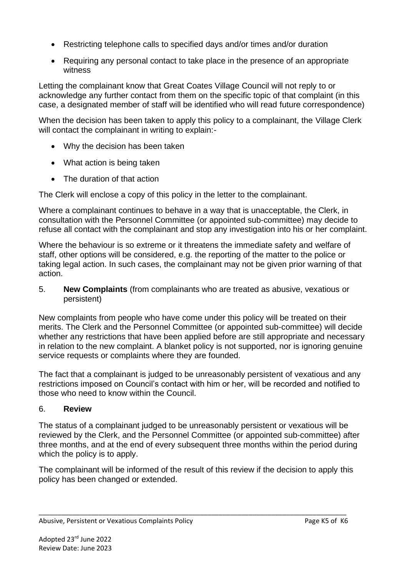- Restricting telephone calls to specified days and/or times and/or duration
- Requiring any personal contact to take place in the presence of an appropriate witness

Letting the complainant know that Great Coates Village Council will not reply to or acknowledge any further contact from them on the specific topic of that complaint (in this case, a designated member of staff will be identified who will read future correspondence)

When the decision has been taken to apply this policy to a complainant, the Village Clerk will contact the complainant in writing to explain:-

- Why the decision has been taken
- What action is being taken
- The duration of that action

The Clerk will enclose a copy of this policy in the letter to the complainant.

Where a complainant continues to behave in a way that is unacceptable, the Clerk, in consultation with the Personnel Committee (or appointed sub-committee) may decide to refuse all contact with the complainant and stop any investigation into his or her complaint.

Where the behaviour is so extreme or it threatens the immediate safety and welfare of staff, other options will be considered, e.g. the reporting of the matter to the police or taking legal action. In such cases, the complainant may not be given prior warning of that action.

5. **New Complaints** (from complainants who are treated as abusive, vexatious or persistent)

New complaints from people who have come under this policy will be treated on their merits. The Clerk and the Personnel Committee (or appointed sub-committee) will decide whether any restrictions that have been applied before are still appropriate and necessary in relation to the new complaint. A blanket policy is not supported, nor is ignoring genuine service requests or complaints where they are founded.

The fact that a complainant is judged to be unreasonably persistent of vexatious and any restrictions imposed on Council's contact with him or her, will be recorded and notified to those who need to know within the Council.

## 6. **Review**

The status of a complainant judged to be unreasonably persistent or vexatious will be reviewed by the Clerk, and the Personnel Committee (or appointed sub-committee) after three months, and at the end of every subsequent three months within the period during which the policy is to apply.

The complainant will be informed of the result of this review if the decision to apply this policy has been changed or extended.

\_\_\_\_\_\_\_\_\_\_\_\_\_\_\_\_\_\_\_\_\_\_\_\_\_\_\_\_\_\_\_\_\_\_\_\_\_\_\_\_\_\_\_\_\_\_\_\_\_\_\_\_\_\_\_\_\_\_\_\_\_\_\_\_\_\_\_\_\_\_\_\_\_\_\_\_\_\_\_\_\_\_ Abusive, Persistent or Vexatious Complaints Policy **Page K5 of K6** Page K5 of K6